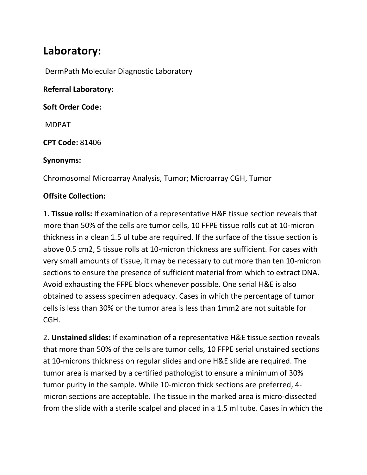# **Laboratory:**

DermPath Molecular Diagnostic Laboratory

**Referral Laboratory:**

**Soft Order Code:**

MDPAT

**CPT Code:** 81406

#### **Synonyms:**

Chromosomal Microarray Analysis, Tumor; Microarray CGH, Tumor

#### **Offsite Collection:**

1. **Tissue rolls:** If examination of a representative H&E tissue section reveals that more than 50% of the cells are tumor cells, 10 FFPE tissue rolls cut at 10-micron thickness in a clean 1.5 ul tube are required. If the surface of the tissue section is above 0.5 cm2, 5 tissue rolls at 10-micron thickness are sufficient. For cases with very small amounts of tissue, it may be necessary to cut more than ten 10-micron sections to ensure the presence of sufficient material from which to extract DNA. Avoid exhausting the FFPE block whenever possible. One serial H&E is also obtained to assess specimen adequacy. Cases in which the percentage of tumor cells is less than 30% or the tumor area is less than 1mm2 are not suitable for CGH.

2. **Unstained slides:** If examination of a representative H&E tissue section reveals that more than 50% of the cells are tumor cells, 10 FFPE serial unstained sections at 10-microns thickness on regular slides and one H&E slide are required. The tumor area is marked by a certified pathologist to ensure a minimum of 30% tumor purity in the sample. While 10-micron thick sections are preferred, 4 micron sections are acceptable. The tissue in the marked area is micro-dissected from the slide with a sterile scalpel and placed in a 1.5 ml tube. Cases in which the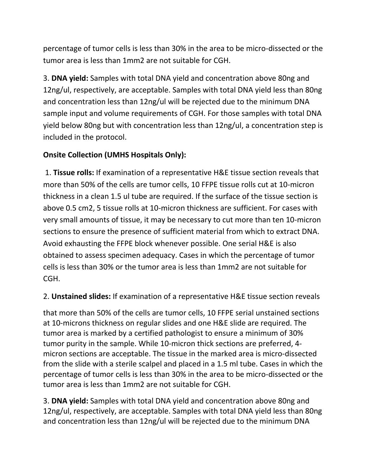percentage of tumor cells is less than 30% in the area to be micro-dissected or the tumor area is less than 1mm2 are not suitable for CGH.

3. **DNA yield:** Samples with total DNA yield and concentration above 80ng and 12ng/ul, respectively, are acceptable. Samples with total DNA yield less than 80ng and concentration less than 12ng/ul will be rejected due to the minimum DNA sample input and volume requirements of CGH. For those samples with total DNA yield below 80ng but with concentration less than 12ng/ul, a concentration step is included in the protocol.

# **Onsite Collection (UMHS Hospitals Only):**

1. **Tissue rolls:** If examination of a representative H&E tissue section reveals that more than 50% of the cells are tumor cells, 10 FFPE tissue rolls cut at 10-micron thickness in a clean 1.5 ul tube are required. If the surface of the tissue section is above 0.5 cm2, 5 tissue rolls at 10-micron thickness are sufficient. For cases with very small amounts of tissue, it may be necessary to cut more than ten 10-micron sections to ensure the presence of sufficient material from which to extract DNA. Avoid exhausting the FFPE block whenever possible. One serial H&E is also obtained to assess specimen adequacy. Cases in which the percentage of tumor cells is less than 30% or the tumor area is less than 1mm2 are not suitable for CGH.

# 2. **Unstained slides:** If examination of a representative H&E tissue section reveals

that more than 50% of the cells are tumor cells, 10 FFPE serial unstained sections at 10-microns thickness on regular slides and one H&E slide are required. The tumor area is marked by a certified pathologist to ensure a minimum of 30% tumor purity in the sample. While 10-micron thick sections are preferred, 4 micron sections are acceptable. The tissue in the marked area is micro-dissected from the slide with a sterile scalpel and placed in a 1.5 ml tube. Cases in which the percentage of tumor cells is less than 30% in the area to be micro-dissected or the tumor area is less than 1mm2 are not suitable for CGH.

3. **DNA yield:** Samples with total DNA yield and concentration above 80ng and 12ng/ul, respectively, are acceptable. Samples with total DNA yield less than 80ng and concentration less than 12ng/ul will be rejected due to the minimum DNA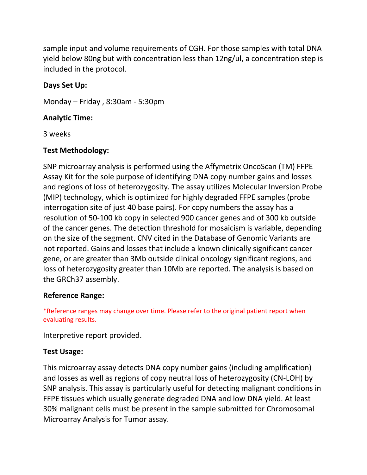sample input and volume requirements of CGH. For those samples with total DNA yield below 80ng but with concentration less than 12ng/ul, a concentration step is included in the protocol.

### **Days Set Up:**

Monday – Friday , 8:30am - 5:30pm

#### **Analytic Time:**

3 weeks

#### **Test Methodology:**

SNP microarray analysis is performed using the Affymetrix OncoScan (TM) FFPE Assay Kit for the sole purpose of identifying DNA copy number gains and losses and regions of loss of heterozygosity. The assay utilizes Molecular Inversion Probe (MIP) technology, which is optimized for highly degraded FFPE samples (probe interrogation site of just 40 base pairs). For copy numbers the assay has a resolution of 50-100 kb copy in selected 900 cancer genes and of 300 kb outside of the cancer genes. The detection threshold for mosaicism is variable, depending on the size of the segment. CNV cited in the Database of Genomic Variants are not reported. Gains and losses that include a known clinically significant cancer gene, or are greater than 3Mb outside clinical oncology significant regions, and loss of heterozygosity greater than 10Mb are reported. The analysis is based on the GRCh37 assembly.

#### **Reference Range:**

\*Reference ranges may change over time. Please refer to the original patient report when evaluating results.

Interpretive report provided.

#### **Test Usage:**

This microarray assay detects DNA copy number gains (including amplification) and losses as well as regions of copy neutral loss of heterozygosity (CN-LOH) by SNP analysis. This assay is particularly useful for detecting malignant conditions in FFPE tissues which usually generate degraded DNA and low DNA yield. At least 30% malignant cells must be present in the sample submitted for Chromosomal Microarray Analysis for Tumor assay.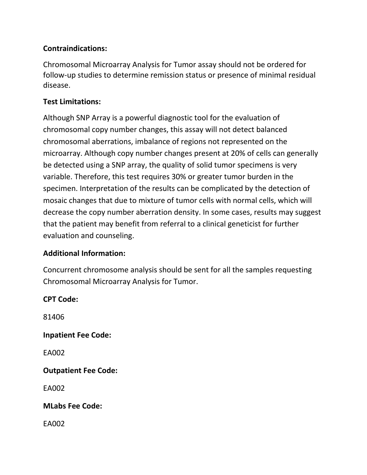## **Contraindications:**

Chromosomal Microarray Analysis for Tumor assay should not be ordered for follow-up studies to determine remission status or presence of minimal residual disease.

#### **Test Limitations:**

Although SNP Array is a powerful diagnostic tool for the evaluation of chromosomal copy number changes, this assay will not detect balanced chromosomal aberrations, imbalance of regions not represented on the microarray. Although copy number changes present at 20% of cells can generally be detected using a SNP array, the quality of solid tumor specimens is very variable. Therefore, this test requires 30% or greater tumor burden in the specimen. Interpretation of the results can be complicated by the detection of mosaic changes that due to mixture of tumor cells with normal cells, which will decrease the copy number aberration density. In some cases, results may suggest that the patient may benefit from referral to a clinical geneticist for further evaluation and counseling.

#### **Additional Information:**

Concurrent chromosome analysis should be sent for all the samples requesting Chromosomal Microarray Analysis for Tumor.

**CPT Code:**  81406 **Inpatient Fee Code:** EA002 **Outpatient Fee Code:**  EA002 **MLabs Fee Code:**  EA002